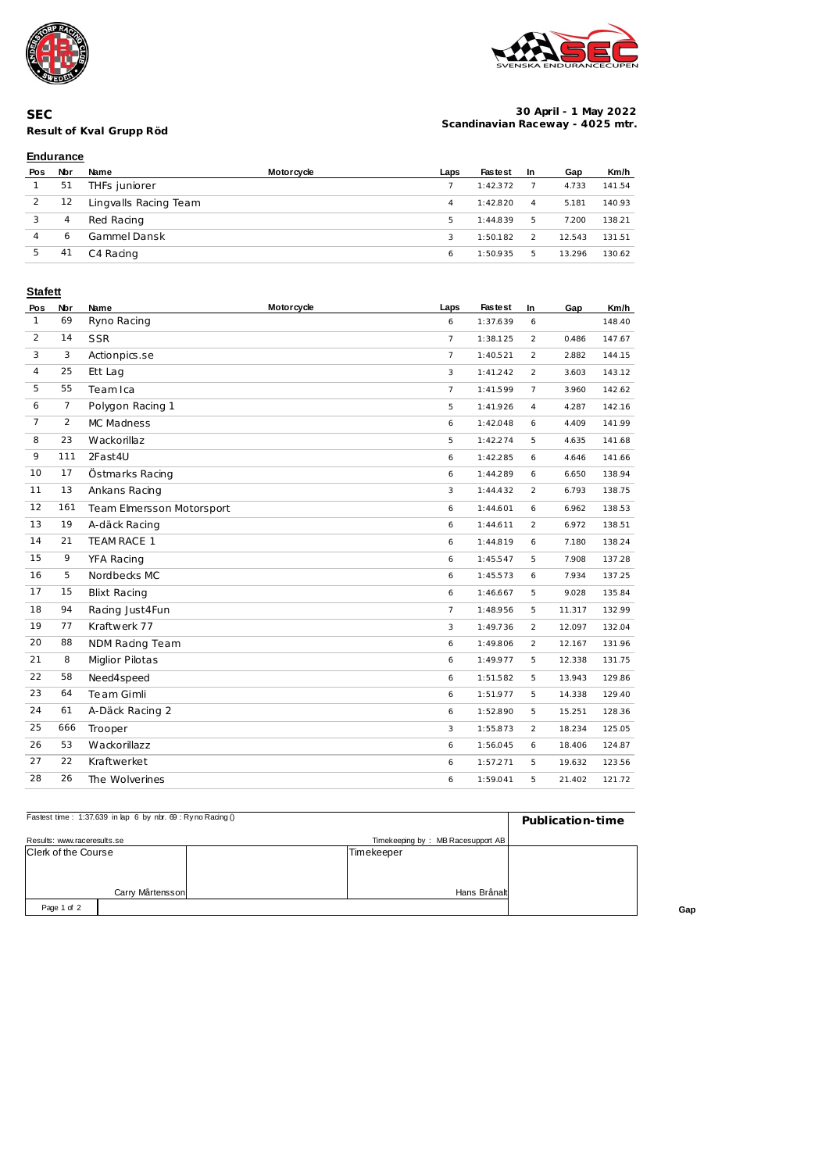



## **Result of Kval Grupp Röd SEC**

#### **30 April - 1 May 2022 Scandinavian Raceway - 4025 mtr.**

# **Endurance**

| Pos | Nbr | Name                  | <b>Motorcycle</b> | Laps | <b>Fastest</b> | -In | Gap    | Km/h   |
|-----|-----|-----------------------|-------------------|------|----------------|-----|--------|--------|
|     | 51  | THFs juniorer         |                   |      | 1:42.372       |     | 4.733  | 141.54 |
|     | 12  | Lingvalls Racing Team |                   | 4    | 1:42.820       | 4   | 5.181  | 140.93 |
|     | 4   | Red Racing            |                   | 5    | 1:44.839       | 5   | 7.200  | 138.21 |
|     | 6   | Gammel Dansk          |                   | 3    | 1:50.182       | 2   | 12.543 | 131.51 |
| 5   | 41  | C4 Racing             |                   | 6    | 1:50.935       | 5   | 13.296 | 130.62 |

### **Stafett**

| Pos            | Nbr            | Name                      | <b>Motorcycle</b> | Laps           | <b>Fastest</b> | In             | Gap    | Km/h   |
|----------------|----------------|---------------------------|-------------------|----------------|----------------|----------------|--------|--------|
| $\mathbf{1}$   | 69             | Ryno Racing               |                   | 6              | 1:37.639       | 6              |        | 148.40 |
| 2              | 14             | <b>SSR</b>                |                   | $\overline{7}$ | 1:38.125       | $\overline{2}$ | 0.486  | 147.67 |
| 3              | 3              | Actionpics.se             |                   | $\overline{7}$ | 1:40.521       | $\overline{2}$ | 2.882  | 144.15 |
| 4              | 25             | Ett Lag                   |                   | 3              | 1:41.242       | $\overline{2}$ | 3.603  | 143.12 |
| 5              | 55             | Team Ica                  |                   | $\overline{7}$ | 1:41.599       | $\overline{7}$ | 3.960  | 142.62 |
| 6              | $\overline{7}$ | Polygon Racing 1          |                   | 5              | 1:41.926       | $\overline{4}$ | 4.287  | 142.16 |
| $\overline{7}$ | $\overline{2}$ | MC Madness                |                   | 6              | 1:42.048       | 6              | 4.409  | 141.99 |
| 8              | 23             | Wackorillaz               |                   | 5              | 1:42.274       | 5              | 4.635  | 141.68 |
| 9              | 111            | 2Fast4U                   |                   | 6              | 1:42.285       | 6              | 4.646  | 141.66 |
| 10             | 17             | Östmarks Racing           |                   | 6              | 1:44.289       | 6              | 6.650  | 138.94 |
| 11             | 13             | Ankans Racing             |                   | 3              | 1:44.432       | $\overline{2}$ | 6.793  | 138.75 |
| 12             | 161            | Team Elmersson Motorsport |                   | 6              | 1:44.601       | 6              | 6.962  | 138.53 |
| 13             | 19             | A-däck Racing             |                   | 6              | 1:44.611       | $\overline{2}$ | 6.972  | 138.51 |
| 14             | 21             | TEAM RACE 1               |                   | 6              | 1:44.819       | 6              | 7.180  | 138.24 |
| 15             | 9              | YFA Racing                |                   | 6              | 1:45.547       | 5              | 7.908  | 137.28 |
| 16             | 5              | Nordbecks MC              |                   | 6              | 1:45.573       | 6              | 7.934  | 137.25 |
| 17             | 15             | <b>Blixt Racing</b>       |                   | 6              | 1:46.667       | 5              | 9.028  | 135.84 |
| 18             | 94             | Racing Just4Fun           |                   | $\overline{7}$ | 1:48.956       | 5              | 11.317 | 132.99 |
| 19             | 77             | Kraftwerk 77              |                   | $\mathbf{3}$   | 1:49.736       | $\overline{2}$ | 12.097 | 132.04 |
| 20             | 88             | NDM Racing Team           |                   | 6              | 1:49.806       | $\overline{a}$ | 12.167 | 131.96 |
| 21             | 8              | <b>Miglior Pilotas</b>    |                   | 6              | 1:49.977       | 5              | 12.338 | 131.75 |
| 22             | 58             | Need4speed                |                   | 6              | 1:51.582       | 5              | 13.943 | 129.86 |
| 23             | 64             | Te am Gimli               |                   | 6              | 1:51.977       | 5              | 14.338 | 129.40 |
| 24             | 61             | A-Däck Racing 2           |                   | 6              | 1:52.890       | 5              | 15.251 | 128.36 |
| 25             | 666            | Trooper                   |                   | 3              | 1:55.873       | $\overline{a}$ | 18.234 | 125.05 |
| 26             | 53             | Wackorillazz              |                   | 6              | 1:56.045       | 6              | 18.406 | 124.87 |
| 27             | 22             | Kraftwerket               |                   | 6              | 1:57.271       | 5              | 19.632 | 123.56 |
| 28             | 26             | The Wolverines            |                   | 6              | 1:59.041       | 5              | 21.402 | 121.72 |
|                |                |                           |                   |                |                |                |        |        |

| Fastest time: 1:37.639 in lap 6 by nbr. 69 : Ry no Racing () | Publication-time |  |                                   |  |  |
|--------------------------------------------------------------|------------------|--|-----------------------------------|--|--|
| Results: www.raceresults.se                                  |                  |  | Timekeeping by: MB Racesupport AB |  |  |
| <b>Clerk of the Course</b>                                   |                  |  | Timekeeper                        |  |  |
|                                                              |                  |  |                                   |  |  |
|                                                              |                  |  |                                   |  |  |
| Carry Mårtensson                                             |                  |  | Hans Brånalt                      |  |  |
| Page 1 of 2                                                  |                  |  |                                   |  |  |

**Gap**